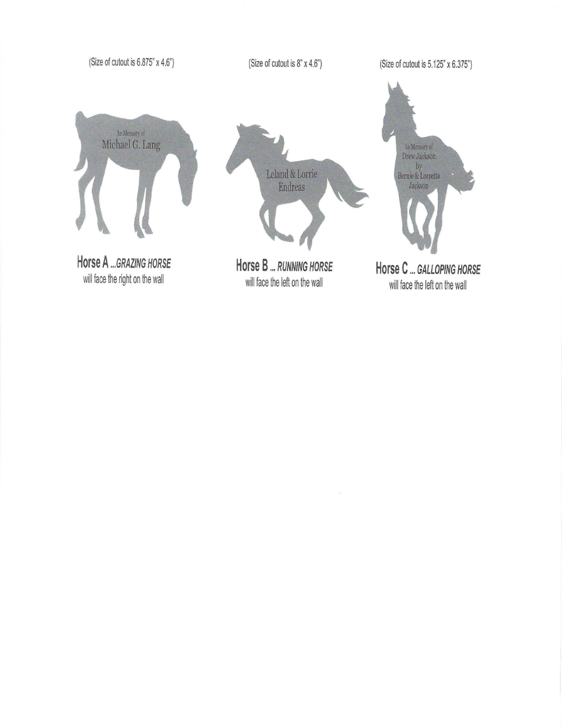(Size of cutout is 6.875" x 4.6")

(Size of cutout is 8" x 4.6")

(Size of cutout is 5.125" x 6.375")



Horse A ... GRAZING HORSE will face the right on the wall



will face the left on the wall

In Memory of<br>Drew Jackson by<br>Bernie & Lorretta<br>Jackson Horse C ... GALLOPING HORSE

will face the left on the wall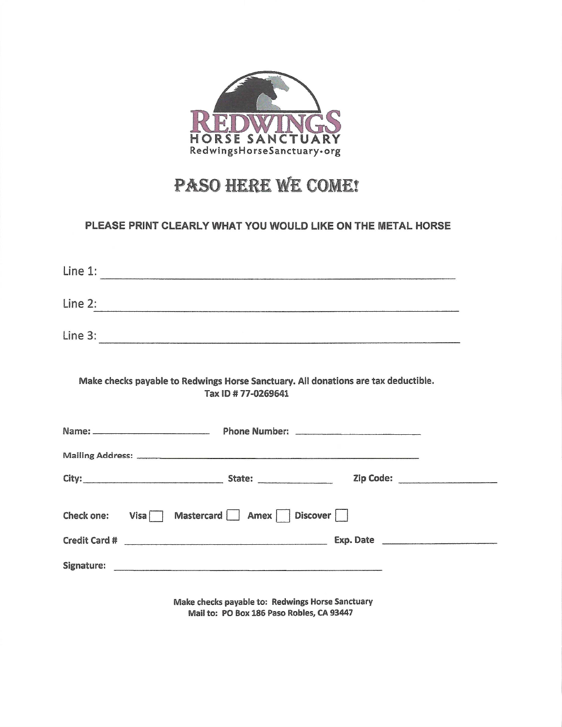

# PASO HERE WE COME!

## PLEASE PRINT CLEARLY WHAT YOU WOULD LIKE ON THE METAL HORSE

| Line 1:                                                                                                   |
|-----------------------------------------------------------------------------------------------------------|
| Line 2:                                                                                                   |
|                                                                                                           |
| Make checks payable to Redwings Horse Sanctuary. All donations are tax deductible.<br>Tax ID # 77-0269641 |
|                                                                                                           |
|                                                                                                           |
|                                                                                                           |
| Check one: Visa Mastercard Amex Discover                                                                  |
|                                                                                                           |
| Make checks navable to: Redwings Horse Sanctuary                                                          |

Mail to: PO Box 186 Paso Robles, CA 93447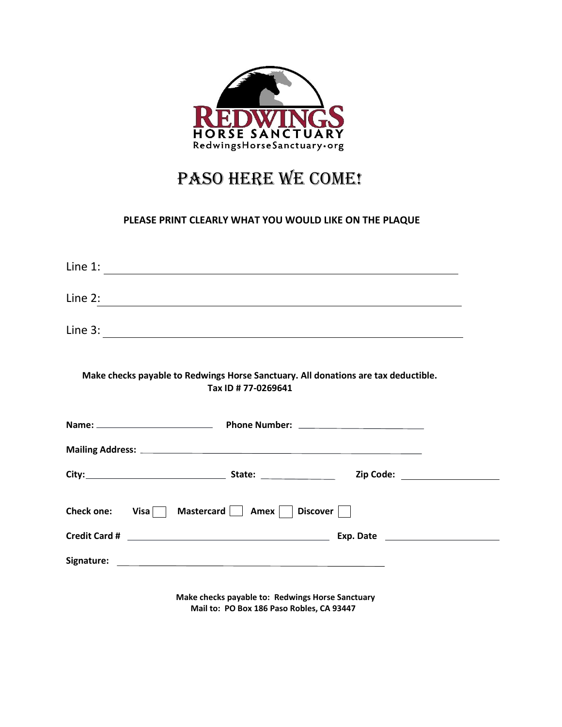

# PASO HERE WE COME!

### **PLEASE PRINT CLEARLY WHAT YOU WOULD LIKE ON THE PLAQUE**

|           | Line 1: $\frac{1}{2}$ $\frac{1}{2}$ $\frac{1}{2}$ $\frac{1}{2}$ $\frac{1}{2}$ $\frac{1}{2}$ $\frac{1}{2}$ $\frac{1}{2}$ $\frac{1}{2}$ $\frac{1}{2}$ $\frac{1}{2}$ $\frac{1}{2}$ $\frac{1}{2}$ $\frac{1}{2}$ $\frac{1}{2}$ $\frac{1}{2}$ $\frac{1}{2}$ $\frac{1}{2}$ $\frac{1}{2}$ $\frac{1}{2}$ $\frac{1}{2}$ $\frac$ |  |
|-----------|-----------------------------------------------------------------------------------------------------------------------------------------------------------------------------------------------------------------------------------------------------------------------------------------------------------------------|--|
| Line $2:$ |                                                                                                                                                                                                                                                                                                                       |  |
|           | Line 3: $\frac{1}{2}$ $\frac{1}{2}$ $\frac{1}{2}$ $\frac{1}{2}$ $\frac{1}{2}$ $\frac{1}{2}$ $\frac{1}{2}$ $\frac{1}{2}$ $\frac{1}{2}$ $\frac{1}{2}$ $\frac{1}{2}$ $\frac{1}{2}$ $\frac{1}{2}$ $\frac{1}{2}$ $\frac{1}{2}$ $\frac{1}{2}$ $\frac{1}{2}$ $\frac{1}{2}$ $\frac{1}{2}$ $\frac{1}{2}$ $\frac{1}{2}$ $\frac$ |  |
|           | Make checks payable to Redwings Horse Sanctuary. All donations are tax deductible.<br>Tax ID # 77-0269641                                                                                                                                                                                                             |  |
|           |                                                                                                                                                                                                                                                                                                                       |  |
|           |                                                                                                                                                                                                                                                                                                                       |  |
|           |                                                                                                                                                                                                                                                                                                                       |  |
|           | Check one: $Visa$ Mastercard     Amex     Discover                                                                                                                                                                                                                                                                    |  |
|           |                                                                                                                                                                                                                                                                                                                       |  |
|           |                                                                                                                                                                                                                                                                                                                       |  |

 **Make checks payable to: Redwings Horse Sanctuary Mail to: PO Box 186 Paso Robles, CA 93447**